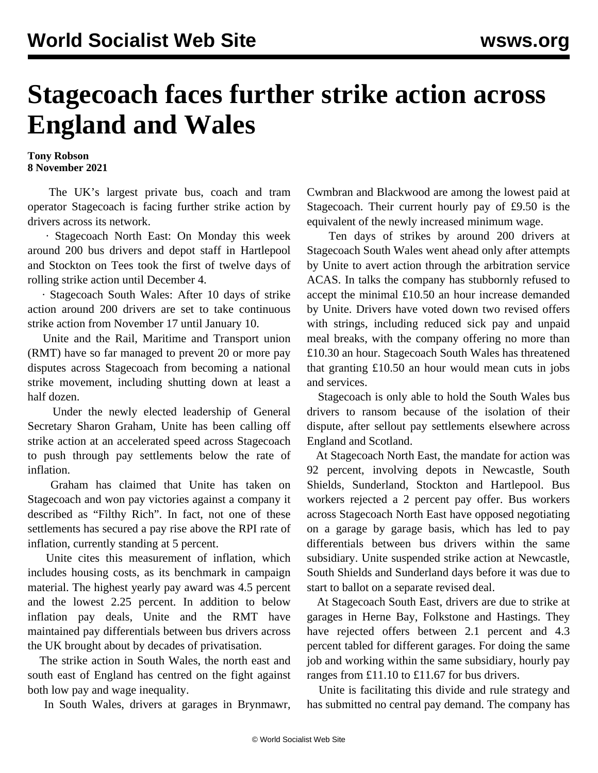## **Stagecoach faces further strike action across England and Wales**

## **Tony Robson 8 November 2021**

 The UK's largest private bus, coach and tram operator Stagecoach is facing further strike action by drivers across its network.

 · Stagecoach North East: On Monday this week around 200 bus drivers and depot staff in Hartlepool and Stockton on Tees took the first of twelve days of rolling strike action until December 4.

 · Stagecoach South Wales: After 10 days of strike action around 200 drivers are set to take continuous strike action from November 17 until January 10.

 Unite and the Rail, Maritime and Transport union (RMT) have so far managed to prevent 20 or more pay disputes across Stagecoach from becoming a national strike movement, including shutting down at least a half dozen.

 Under the newly elected leadership of General Secretary Sharon Graham, Unite has been [calling off](/en/articles/2021/10/26/stag-o26.html) [strike action](/en/articles/2021/10/26/stag-o26.html) at an accelerated speed across Stagecoach to push through pay settlements below the rate of inflation.

 Graham has claimed that Unite has taken on Stagecoach and won pay victories against a company it described as "Filthy Rich". In fact, not one of these settlements has secured a pay rise above the RPI rate of inflation, currently standing at 5 percent.

 Unite cites this measurement of inflation, which includes housing costs, as its benchmark in campaign material. The highest yearly pay award was 4.5 percent and the lowest 2.25 percent. In addition to below inflation pay deals, Unite and the RMT have maintained pay differentials between bus drivers across the UK brought about by decades of privatisation.

 The strike action in South Wales, the north east and south east of England has centred on the fight against both low pay and wage inequality.

In South Wales, drivers at garages in Brynmawr,

Cwmbran and Blackwood are among the lowest paid at Stagecoach. Their current hourly pay of £9.50 is the equivalent of the newly increased minimum wage.

 Ten days of strikes by around 200 drivers at Stagecoach South Wales went ahead only after attempts by Unite to avert action through the arbitration service ACAS. In talks the company has stubbornly refused to accept the minimal £10.50 an hour increase demanded by Unite. Drivers have voted down two revised offers with strings, including reduced sick pay and unpaid meal breaks, with the company offering no more than £10.30 an hour. Stagecoach South Wales has threatened that granting £10.50 an hour would mean cuts in jobs and services.

 Stagecoach is only able to hold the South Wales bus drivers to ransom because of the isolation of their dispute, after sellout pay settlements elsewhere across England and Scotland.

 At Stagecoach North East, the mandate for action was 92 percent, involving depots in Newcastle, South Shields, Sunderland, Stockton and Hartlepool. Bus workers rejected a 2 percent pay offer. Bus workers across Stagecoach North East have opposed negotiating on a garage by garage basis, which has led to pay differentials between bus drivers within the same subsidiary. Unite suspended strike action at Newcastle, South Shields and Sunderland days before it was due to start to ballot on a separate revised deal.

 At Stagecoach South East, drivers are due to strike at garages in Herne Bay, Folkstone and Hastings. They have rejected offers between 2.1 percent and 4.3 percent tabled for different garages. For doing the same job and working within the same subsidiary, hourly pay ranges from £11.10 to £11.67 for bus drivers.

 Unite is facilitating this divide and rule strategy and has submitted no central pay demand. The company has